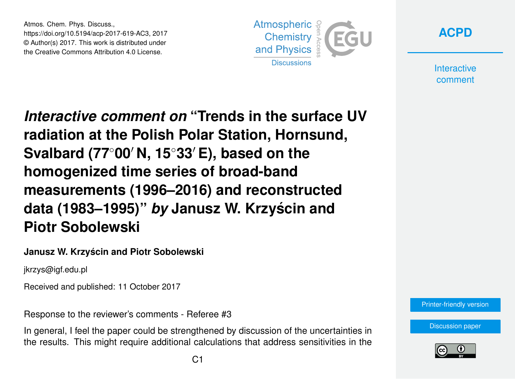Atmos. Chem. Phys. Discuss., https://doi.org/10.5194/acp-2017-619-AC3, 2017 © Author(s) 2017. This work is distributed under the Creative Commons Attribution 4.0 License.





**Interactive** comment

*Interactive comment on* **"Trends in the surface UV radiation at the Polish Polar Station, Hornsund, Svalbard (77<sup>◦</sup>00′ N, 15<sup>◦</sup>33′ E), based on the homogenized time series of broad-band measurements (1996–2016) and reconstructed data (1983–1995)"** *by* **Janusz W. Krzyscin and ´ Piotr Sobolewski**

## **Janusz W. Krzyscin and Piotr Sobolewski ´**

jkrzys@igf.edu.pl

Received and published: 11 October 2017

Response to the reviewer's comments - Referee #3

In general, I feel the paper could be strengthened by discussion of the uncertainties in the results. This might require additional calculations that address sensitivities in the



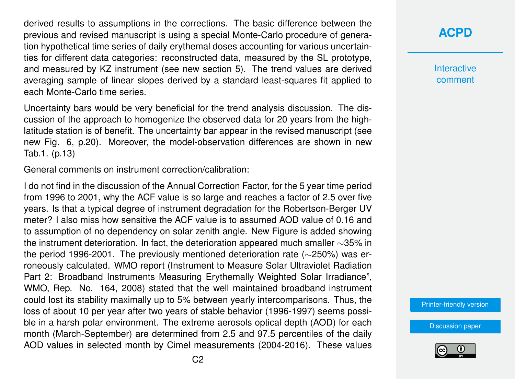derived results to assumptions in the corrections. The basic difference between the previous and revised manuscript is using a special Monte-Carlo procedure of generation hypothetical time series of daily erythemal doses accounting for various uncertainties for different data categories: reconstructed data, measured by the SL prototype, and measured by KZ instrument (see new section 5). The trend values are derived averaging sample of linear slopes derived by a standard least-squares fit applied to each Monte-Carlo time series.

Uncertainty bars would be very beneficial for the trend analysis discussion. The discussion of the approach to homogenize the observed data for 20 years from the highlatitude station is of benefit. The uncertainty bar appear in the revised manuscript (see new Fig. 6, p.20). Moreover, the model-observation differences are shown in new Tab.1. (p.13)

General comments on instrument correction/calibration:

I do not find in the discussion of the Annual Correction Factor, for the 5 year time period from 1996 to 2001, why the ACF value is so large and reaches a factor of 2.5 over five years. Is that a typical degree of instrument degradation for the Robertson-Berger UV meter? I also miss how sensitive the ACF value is to assumed AOD value of 0.16 and to assumption of no dependency on solar zenith angle. New Figure is added showing the instrument deterioration. In fact, the deterioration appeared much smaller ∼35% in the period 1996-2001. The previously mentioned deterioration rate (∼250%) was erroneously calculated. WMO report (Instrument to Measure Solar Ultraviolet Radiation Part 2: Broadband Instruments Measuring Erythemally Weighted Solar Irradiance", WMO, Rep. No. 164, 2008) stated that the well maintained broadband instrument could lost its stability maximally up to 5% between yearly intercomparisons. Thus, the loss of about 10 per year after two years of stable behavior (1996-1997) seems possible in a harsh polar environment. The extreme aerosols optical depth (AOD) for each month (March-September) are determined from 2.5 and 97.5 percentiles of the daily AOD values in selected month by Cimel measurements (2004-2016). These values **[ACPD](https://www.atmos-chem-phys-discuss.net/)**

**Interactive** comment

[Printer-friendly version](https://www.atmos-chem-phys-discuss.net/acp-2017-619/acp-2017-619-AC3-print.pdf)

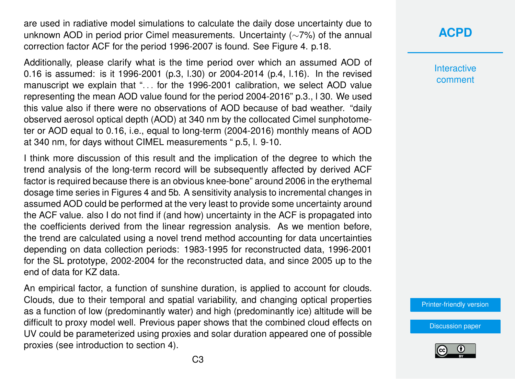are used in radiative model simulations to calculate the daily dose uncertainty due to unknown AOD in period prior Cimel measurements. Uncertainty (∼7%) of the annual correction factor ACF for the period 1996-2007 is found. See Figure 4. p.18.

Additionally, please clarify what is the time period over which an assumed AOD of 0.16 is assumed: is it 1996-2001 (p.3, l.30) or 2004-2014 (p.4, l.16). In the revised manuscript we explain that ". . . for the 1996-2001 calibration, we select AOD value representing the mean AOD value found for the period 2004-2016" p.3., l 30. We used this value also if there were no observations of AOD because of bad weather. "daily observed aerosol optical depth (AOD) at 340 nm by the collocated Cimel sunphotometer or AOD equal to 0.16, i.e., equal to long-term (2004-2016) monthly means of AOD at 340 nm, for days without CIMEL measurements " p.5, l. 9-10.

I think more discussion of this result and the implication of the degree to which the trend analysis of the long-term record will be subsequently affected by derived ACF factor is required because there is an obvious knee-bone" around 2006 in the erythemal dosage time series in Figures 4 and 5b. A sensitivity analysis to incremental changes in assumed AOD could be performed at the very least to provide some uncertainty around the ACF value. also I do not find if (and how) uncertainty in the ACF is propagated into the coefficients derived from the linear regression analysis. As we mention before, the trend are calculated using a novel trend method accounting for data uncertainties depending on data collection periods: 1983-1995 for reconstructed data, 1996-2001 for the SL prototype, 2002-2004 for the reconstructed data, and since 2005 up to the end of data for KZ data.

An empirical factor, a function of sunshine duration, is applied to account for clouds. Clouds, due to their temporal and spatial variability, and changing optical properties as a function of low (predominantly water) and high (predominantly ice) altitude will be difficult to proxy model well. Previous paper shows that the combined cloud effects on UV could be parameterized using proxies and solar duration appeared one of possible proxies (see introduction to section 4).

**[ACPD](https://www.atmos-chem-phys-discuss.net/)**

**Interactive** comment

[Printer-friendly version](https://www.atmos-chem-phys-discuss.net/acp-2017-619/acp-2017-619-AC3-print.pdf)

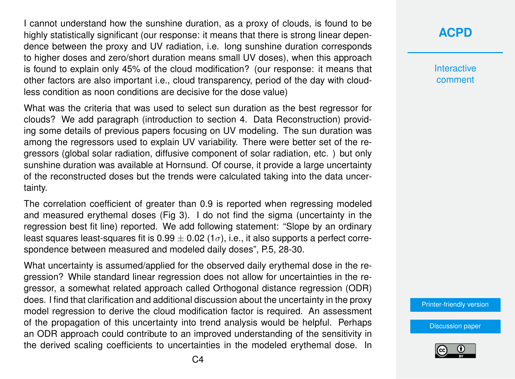I cannot understand how the sunshine duration, as a proxy of clouds, is found to be highly statistically significant (our response: it means that there is strong linear dependence between the proxy and UV radiation, i.e. long sunshine duration corresponds to higher doses and zero/short duration means small UV doses), when this approach is found to explain only 45% of the cloud modification? (our response: it means that other factors are also important i.e., cloud transparency, period of the day with cloudless condition as noon conditions are decisive for the dose value)

What was the criteria that was used to select sun duration as the best regressor for clouds? We add paragraph (introduction to section 4. Data Reconstruction) providing some details of previous papers focusing on UV modeling. The sun duration was among the regressors used to explain UV variability. There were better set of the regressors (global solar radiation, diffusive component of solar radiation, etc. ) but only sunshine duration was available at Hornsund. Of course, it provide a large uncertainty of the reconstructed doses but the trends were calculated taking into the data uncertainty.

The correlation coefficient of greater than 0.9 is reported when regressing modeled and measured erythemal doses (Fig 3). I do not find the sigma (uncertainty in the regression best fit line) reported. We add following statement: "Slope by an ordinary least squares least-squares fit is 0.99  $\pm$  0.02 (1 $\sigma$ ), i.e., it also supports a perfect correspondence between measured and modeled daily doses", P.5, 28-30.

What uncertainty is assumed/applied for the observed daily erythemal dose in the regression? While standard linear regression does not allow for uncertainties in the regressor, a somewhat related approach called Orthogonal distance regression (ODR) does. I find that clarification and additional discussion about the uncertainty in the proxy model regression to derive the cloud modification factor is required. An assessment of the propagation of this uncertainty into trend analysis would be helpful. Perhaps an ODR approach could contribute to an improved understanding of the sensitivity in the derived scaling coefficients to uncertainties in the modeled erythemal dose. In

## **[ACPD](https://www.atmos-chem-phys-discuss.net/)**

**Interactive** comment

[Printer-friendly version](https://www.atmos-chem-phys-discuss.net/acp-2017-619/acp-2017-619-AC3-print.pdf)

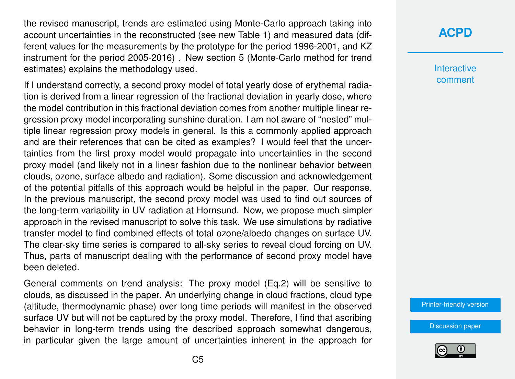the revised manuscript, trends are estimated using Monte-Carlo approach taking into account uncertainties in the reconstructed (see new Table 1) and measured data (different values for the measurements by the prototype for the period 1996-2001, and KZ instrument for the period 2005-2016) . New section 5 (Monte-Carlo method for trend estimates) explains the methodology used.

If I understand correctly, a second proxy model of total yearly dose of erythemal radiation is derived from a linear regression of the fractional deviation in yearly dose, where the model contribution in this fractional deviation comes from another multiple linear regression proxy model incorporating sunshine duration. I am not aware of "nested" multiple linear regression proxy models in general. Is this a commonly applied approach and are their references that can be cited as examples? I would feel that the uncertainties from the first proxy model would propagate into uncertainties in the second proxy model (and likely not in a linear fashion due to the nonlinear behavior between clouds, ozone, surface albedo and radiation). Some discussion and acknowledgement of the potential pitfalls of this approach would be helpful in the paper. Our response. In the previous manuscript, the second proxy model was used to find out sources of the long-term variability in UV radiation at Hornsund. Now, we propose much simpler approach in the revised manuscript to solve this task. We use simulations by radiative transfer model to find combined effects of total ozone/albedo changes on surface UV. The clear-sky time series is compared to all-sky series to reveal cloud forcing on UV. Thus, parts of manuscript dealing with the performance of second proxy model have been deleted.

General comments on trend analysis: The proxy model (Eq.2) will be sensitive to clouds, as discussed in the paper. An underlying change in cloud fractions, cloud type (altitude, thermodynamic phase) over long time periods will manifest in the observed surface UV but will not be captured by the proxy model. Therefore, I find that ascribing behavior in long-term trends using the described approach somewhat dangerous, in particular given the large amount of uncertainties inherent in the approach for

## **[ACPD](https://www.atmos-chem-phys-discuss.net/)**

**Interactive** comment

[Printer-friendly version](https://www.atmos-chem-phys-discuss.net/acp-2017-619/acp-2017-619-AC3-print.pdf)